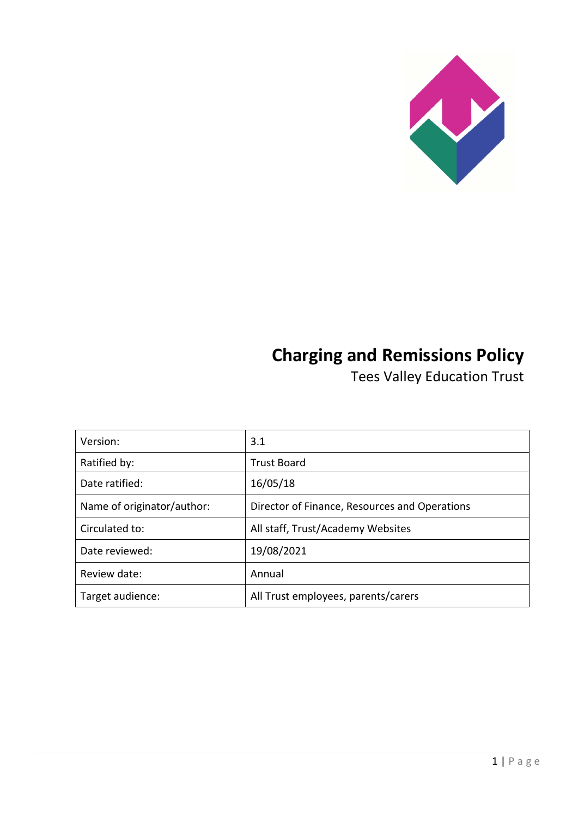

# **Charging and Remissions Policy**

Tees Valley Education Trust

| Version:                   | 3.1                                           |
|----------------------------|-----------------------------------------------|
| Ratified by:               | <b>Trust Board</b>                            |
| Date ratified:             | 16/05/18                                      |
| Name of originator/author: | Director of Finance, Resources and Operations |
| Circulated to:             | All staff, Trust/Academy Websites             |
| Date reviewed:             | 19/08/2021                                    |
| Review date:               | Annual                                        |
| Target audience:           | All Trust employees, parents/carers           |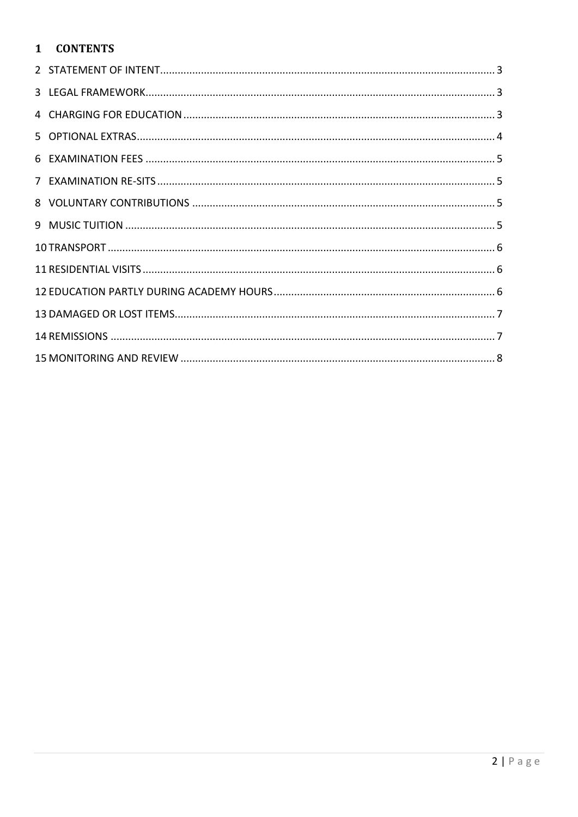# 1 CONTENTS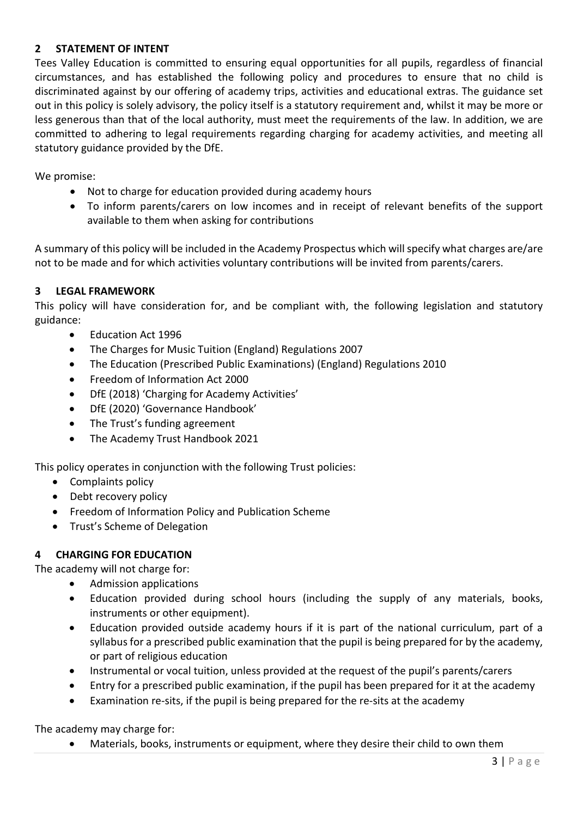## <span id="page-2-0"></span>**2 STATEMENT OF INTENT**

Tees Valley Education is committed to ensuring equal opportunities for all pupils, regardless of financial circumstances, and has established the following policy and procedures to ensure that no child is discriminated against by our offering of academy trips, activities and educational extras. The guidance set out in this policy is solely advisory, the policy itself is a statutory requirement and, whilst it may be more or less generous than that of the local authority, must meet the requirements of the law. In addition, we are committed to adhering to legal requirements regarding charging for academy activities, and meeting all statutory guidance provided by the DfE.

We promise:

- Not to charge for education provided during academy hours
- To inform parents/carers on low incomes and in receipt of relevant benefits of the support available to them when asking for contributions

A summary of this policy will be included in the Academy Prospectus which will specify what charges are/are not to be made and for which activities voluntary contributions will be invited from parents/carers.

#### <span id="page-2-1"></span>**3 LEGAL FRAMEWORK**

This policy will have consideration for, and be compliant with, the following legislation and statutory guidance:

- Education Act 1996
- The Charges for Music Tuition (England) Regulations 2007
- The Education (Prescribed Public Examinations) (England) Regulations 2010
- Freedom of Information Act 2000
- DfE (2018) 'Charging for Academy Activities'
- DfE (2020) 'Governance Handbook'
- The Trust's funding agreement
- The Academy Trust Handbook 2021

This policy operates in conjunction with the following Trust policies:

- Complaints policy
- Debt recovery policy
- Freedom of Information Policy and Publication Scheme
- Trust's Scheme of Delegation

#### <span id="page-2-2"></span>**4 CHARGING FOR EDUCATION**

The academy will not charge for:

- Admission applications
- Education provided during school hours (including the supply of any materials, books, instruments or other equipment).
- Education provided outside academy hours if it is part of the national curriculum, part of a syllabus for a prescribed public examination that the pupil is being prepared for by the academy, or part of religious education
- Instrumental or vocal tuition, unless provided at the request of the pupil's parents/carers
- Entry for a prescribed public examination, if the pupil has been prepared for it at the academy
- Examination re-sits, if the pupil is being prepared for the re-sits at the academy

The academy may charge for:

• Materials, books, instruments or equipment, where they desire their child to own them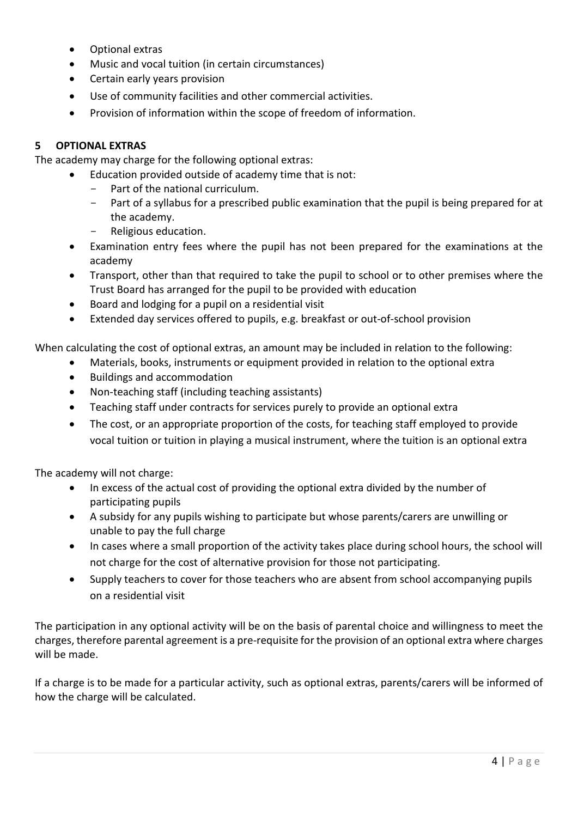- Optional extras
- Music and vocal tuition (in certain circumstances)
- Certain early years provision
- Use of community facilities and other commercial activities.
- Provision of information within the scope of freedom of information.

## <span id="page-3-0"></span>**5 OPTIONAL EXTRAS**

The academy may charge for the following optional extras:

- Education provided outside of academy time that is not:
	- Part of the national curriculum.
	- Part of a syllabus for a prescribed public examination that the pupil is being prepared for at the academy.
	- Religious education.
- Examination entry fees where the pupil has not been prepared for the examinations at the academy
- Transport, other than that required to take the pupil to school or to other premises where the Trust Board has arranged for the pupil to be provided with education
- Board and lodging for a pupil on a residential visit
- Extended day services offered to pupils, e.g. breakfast or out-of-school provision

When calculating the cost of optional extras, an amount may be included in relation to the following:

- Materials, books, instruments or equipment provided in relation to the optional extra
- Buildings and accommodation
- Non-teaching staff (including teaching assistants)
- Teaching staff under contracts for services purely to provide an optional extra
- The cost, or an appropriate proportion of the costs, for teaching staff employed to provide vocal tuition or tuition in playing a musical instrument, where the tuition is an optional extra

The academy will not charge:

- In excess of the actual cost of providing the optional extra divided by the number of participating pupils
- A subsidy for any pupils wishing to participate but whose parents/carers are unwilling or unable to pay the full charge
- In cases where a small proportion of the activity takes place during school hours, the school will not charge for the cost of alternative provision for those not participating.
- Supply teachers to cover for those teachers who are absent from school accompanying pupils on a residential visit

The participation in any optional activity will be on the basis of parental choice and willingness to meet the charges, therefore parental agreement is a pre-requisite for the provision of an optional extra where charges will be made.

If a charge is to be made for a particular activity, such as optional extras, parents/carers will be informed of how the charge will be calculated.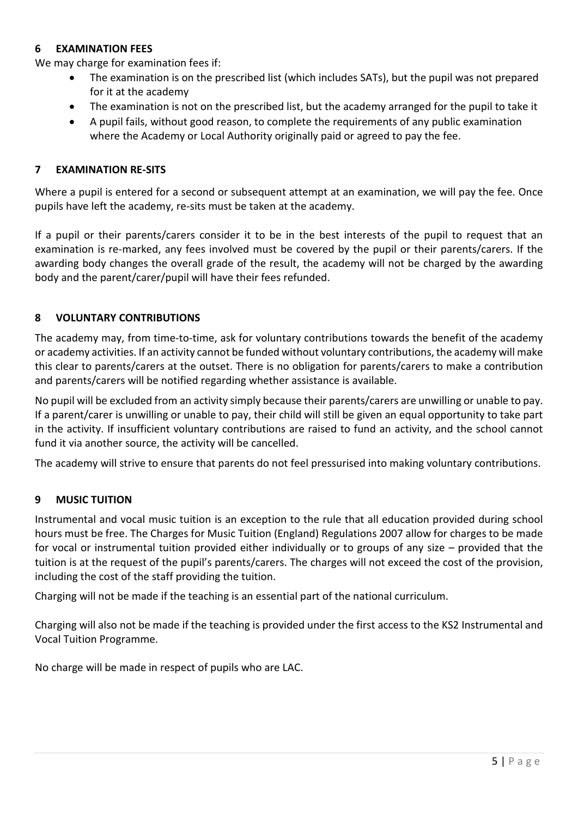#### <span id="page-4-0"></span>**6 EXAMINATION FEES**

We may charge for examination fees if:

- The examination is on the prescribed list (which includes SATs), but the pupil was not prepared for it at the academy
- The examination is not on the prescribed list, but the academy arranged for the pupil to take it
- A pupil fails, without good reason, to complete the requirements of any public examination where the Academy or Local Authority originally paid or agreed to pay the fee.

#### <span id="page-4-1"></span>**7 EXAMINATION RE-SITS**

Where a pupil is entered for a second or subsequent attempt at an examination, we will pay the fee. Once pupils have left the academy, re-sits must be taken at the academy.

If a pupil or their parents/carers consider it to be in the best interests of the pupil to request that an examination is re-marked, any fees involved must be covered by the pupil or their parents/carers. If the awarding body changes the overall grade of the result, the academy will not be charged by the awarding body and the parent/carer/pupil will have their fees refunded.

#### <span id="page-4-2"></span>**8 VOLUNTARY CONTRIBUTIONS**

The academy may, from time-to-time, ask for voluntary contributions towards the benefit of the academy or academy activities. If an activity cannot be funded without voluntary contributions, the academy will make this clear to parents/carers at the outset. There is no obligation for parents/carers to make a contribution and parents/carers will be notified regarding whether assistance is available.

No pupil will be excluded from an activity simply because their parents/carers are unwilling or unable to pay. If a parent/carer is unwilling or unable to pay, their child will still be given an equal opportunity to take part in the activity. If insufficient voluntary contributions are raised to fund an activity, and the school cannot fund it via another source, the activity will be cancelled.

The academy will strive to ensure that parents do not feel pressurised into making voluntary contributions.

#### <span id="page-4-3"></span>**9 MUSIC TUITION**

Instrumental and vocal music tuition is an exception to the rule that all education provided during school hours must be free. The Charges for Music Tuition (England) Regulations 2007 allow for charges to be made for vocal or instrumental tuition provided either individually or to groups of any size – provided that the tuition is at the request of the pupil's parents/carers. The charges will not exceed the cost of the provision, including the cost of the staff providing the tuition.

Charging will not be made if the teaching is an essential part of the national curriculum.

Charging will also not be made if the teaching is provided under the first access to the KS2 Instrumental and Vocal Tuition Programme.

No charge will be made in respect of pupils who are LAC.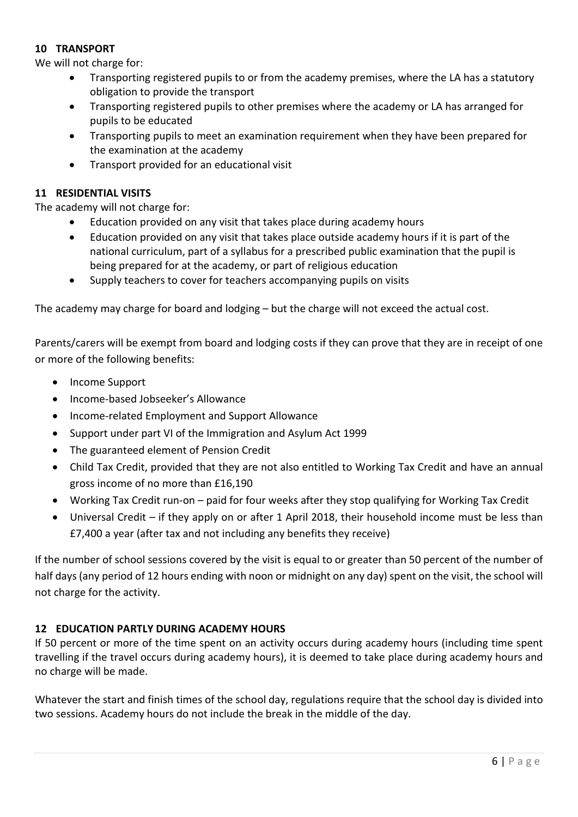#### <span id="page-5-0"></span>**10 TRANSPORT**

We will not charge for:

- Transporting registered pupils to or from the academy premises, where the LA has a statutory obligation to provide the transport
- Transporting registered pupils to other premises where the academy or LA has arranged for pupils to be educated
- Transporting pupils to meet an examination requirement when they have been prepared for the examination at the academy
- Transport provided for an educational visit

#### <span id="page-5-1"></span>**11 RESIDENTIAL VISITS**

The academy will not charge for:

- Education provided on any visit that takes place during academy hours
- Education provided on any visit that takes place outside academy hours if it is part of the national curriculum, part of a syllabus for a prescribed public examination that the pupil is being prepared for at the academy, or part of religious education
- Supply teachers to cover for teachers accompanying pupils on visits

The academy may charge for board and lodging – but the charge will not exceed the actual cost.

Parents/carers will be exempt from board and lodging costs if they can prove that they are in receipt of one or more of the following benefits:

- Income Support
- Income-based Jobseeker's Allowance
- Income-related Employment and Support Allowance
- Support under part VI of the Immigration and Asylum Act 1999
- The guaranteed element of Pension Credit
- Child Tax Credit, provided that they are not also entitled to Working Tax Credit and have an annual gross income of no more than £16,190
- Working Tax Credit run-on paid for four weeks after they stop qualifying for Working Tax Credit
- Universal Credit if they apply on or after 1 April 2018, their household income must be less than £7,400 a year (after tax and not including any benefits they receive)

If the number of school sessions covered by the visit is equal to or greater than 50 percent of the number of half days (any period of 12 hours ending with noon or midnight on any day) spent on the visit, the school will not charge for the activity.

#### <span id="page-5-2"></span>**12 EDUCATION PARTLY DURING ACADEMY HOURS**

If 50 percent or more of the time spent on an activity occurs during academy hours (including time spent travelling if the travel occurs during academy hours), it is deemed to take place during academy hours and no charge will be made.

Whatever the start and finish times of the school day, regulations require that the school day is divided into two sessions. Academy hours do not include the break in the middle of the day.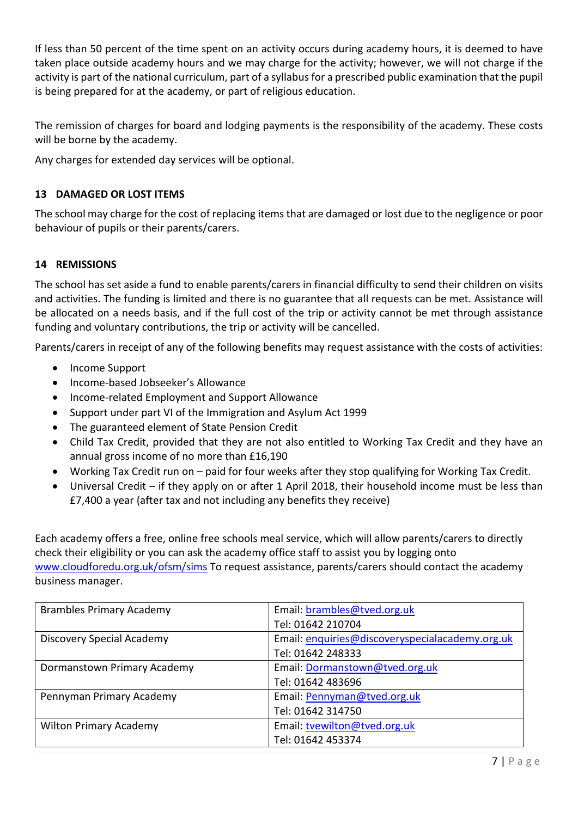If less than 50 percent of the time spent on an activity occurs during academy hours, it is deemed to have taken place outside academy hours and we may charge for the activity; however, we will not charge if the activity is part of the national curriculum, part of a syllabus for a prescribed public examination that the pupil is being prepared for at the academy, or part of religious education.

The remission of charges for board and lodging payments is the responsibility of the academy. These costs will be borne by the academy.

Any charges for extended day services will be optional.

## <span id="page-6-0"></span>**13 DAMAGED OR LOST ITEMS**

The school may charge for the cost of replacing items that are damaged or lost due to the negligence or poor behaviour of pupils or their parents/carers.

#### <span id="page-6-1"></span>**14 REMISSIONS**

The school has set aside a fund to enable parents/carers in financial difficulty to send their children on visits and activities. The funding is limited and there is no guarantee that all requests can be met. Assistance will be allocated on a needs basis, and if the full cost of the trip or activity cannot be met through assistance funding and voluntary contributions, the trip or activity will be cancelled.

Parents/carers in receipt of any of the following benefits may request assistance with the costs of activities:

- Income Support
- Income-based Jobseeker's Allowance
- Income-related Employment and Support Allowance
- Support under part VI of the Immigration and Asylum Act 1999
- The guaranteed element of State Pension Credit
- Child Tax Credit, provided that they are not also entitled to Working Tax Credit and they have an annual gross income of no more than £16,190
- Working Tax Credit run on paid for four weeks after they stop qualifying for Working Tax Credit.
- Universal Credit if they apply on or after 1 April 2018, their household income must be less than £7,400 a year (after tax and not including any benefits they receive)

Each academy offers a free, online free schools meal service, which will allow parents/carers to directly check their eligibility or you can ask the academy office staff to assist you by logging onto [www.cloudforedu.org.uk/ofsm/sims](http://www.cloudforedu.org.uk/ofsm/sims) To request assistance, parents/carers should contact the academy business manager.

| <b>Brambles Primary Academy</b> | Email: brambles@tved.org.uk                     |
|---------------------------------|-------------------------------------------------|
|                                 | Tel: 01642 210704                               |
| Discovery Special Academy       | Email: enquiries@discoveryspecialacademy.org.uk |
|                                 | Tel: 01642 248333                               |
| Dormanstown Primary Academy     | Email: Dormanstown@tved.org.uk                  |
|                                 | Tel: 01642 483696                               |
| Pennyman Primary Academy        | Email: Pennyman@tved.org.uk                     |
|                                 | Tel: 01642 314750                               |
| <b>Wilton Primary Academy</b>   | Email: tvewilton@tved.org.uk                    |
|                                 | Tel: 01642 453374                               |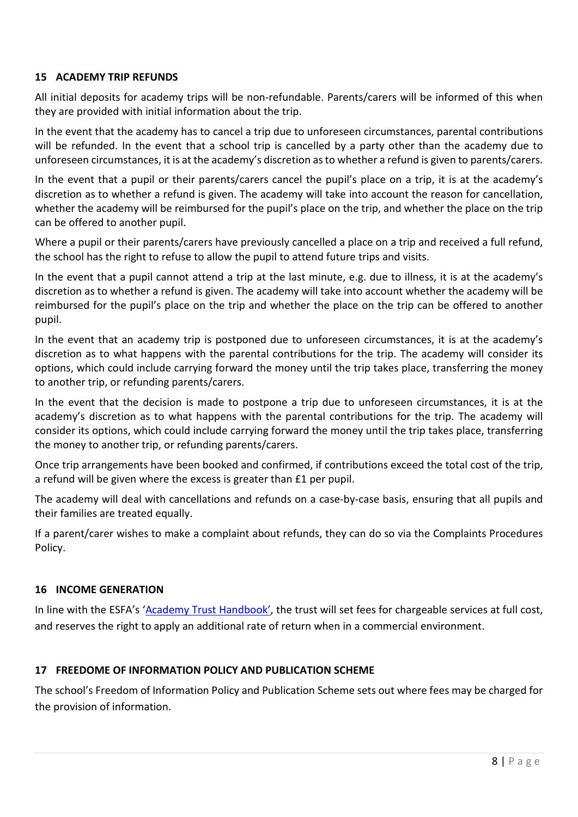#### <span id="page-7-0"></span>**15 ACADEMY TRIP REFUNDS**

All initial deposits for academy trips will be non-refundable. Parents/carers will be informed of this when they are provided with initial information about the trip.

In the event that the academy has to cancel a trip due to unforeseen circumstances, parental contributions will be refunded. In the event that a school trip is cancelled by a party other than the academy due to unforeseen circumstances, it is at the academy's discretion as to whether a refund is given to parents/carers.

In the event that a pupil or their parents/carers cancel the pupil's place on a trip, it is at the academy's discretion as to whether a refund is given. The academy will take into account the reason for cancellation, whether the academy will be reimbursed for the pupil's place on the trip, and whether the place on the trip can be offered to another pupil.

Where a pupil or their parents/carers have previously cancelled a place on a trip and received a full refund, the school has the right to refuse to allow the pupil to attend future trips and visits.

In the event that a pupil cannot attend a trip at the last minute, e.g. due to illness, it is at the academy's discretion as to whether a refund is given. The academy will take into account whether the academy will be reimbursed for the pupil's place on the trip and whether the place on the trip can be offered to another pupil.

In the event that an academy trip is postponed due to unforeseen circumstances, it is at the academy's discretion as to what happens with the parental contributions for the trip. The academy will consider its options, which could include carrying forward the money until the trip takes place, transferring the money to another trip, or refunding parents/carers.

In the event that the decision is made to postpone a trip due to unforeseen circumstances, it is at the academy's discretion as to what happens with the parental contributions for the trip. The academy will consider its options, which could include carrying forward the money until the trip takes place, transferring the money to another trip, or refunding parents/carers.

Once trip arrangements have been booked and confirmed, if contributions exceed the total cost of the trip, a refund will be given where the excess is greater than £1 per pupil.

The academy will deal with cancellations and refunds on a case-by-case basis, ensuring that all pupils and their families are treated equally.

If a parent/carer wishes to make a complaint about refunds, they can do so via the Complaints Procedures Policy.

#### **16 INCOME GENERATION**

In line with the ESFA's ['Academy Trust Handbook',](https://assets.publishing.service.gov.uk/media/60c8d0318fa8f57ce8c4621e/Academy_trust_handbook_2021.pdf) the trust will set fees for chargeable services at full cost, and reserves the right to apply an additional rate of return when in a commercial environment.

#### **17 FREEDOME OF INFORMATION POLICY AND PUBLICATION SCHEME**

The school's Freedom of Information Policy and Publication Scheme sets out where fees may be charged for the provision of information.